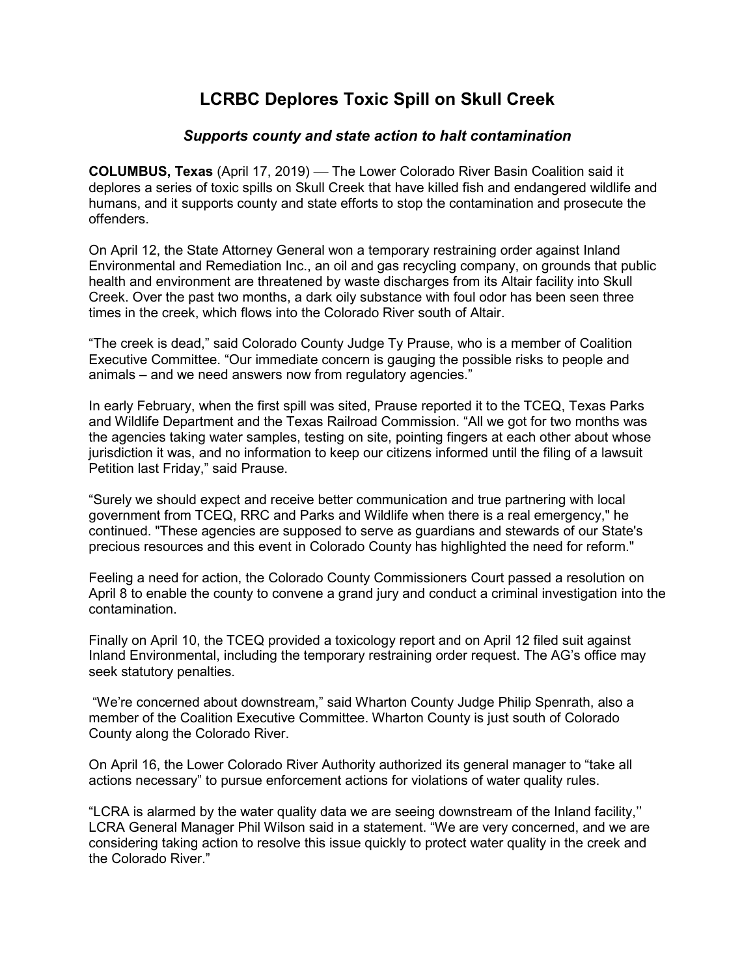## **LCRBC Deplores Toxic Spill on Skull Creek**

## *Supports county and state action to halt contamination*

**COLUMBUS, Texas** (April 17, 2019) — The Lower Colorado River Basin Coalition said it deplores a series of toxic spills on Skull Creek that have killed fish and endangered wildlife and humans, and it supports county and state efforts to stop the contamination and prosecute the offenders.

On April 12, the State Attorney General won a temporary restraining order against Inland Environmental and Remediation Inc., an oil and gas recycling company, on grounds that public health and environment are threatened by waste discharges from its Altair facility into Skull Creek. Over the past two months, a dark oily substance with foul odor has been seen three times in the creek, which flows into the Colorado River south of Altair.

"The creek is dead," said Colorado County Judge Ty Prause, who is a member of Coalition Executive Committee. "Our immediate concern is gauging the possible risks to people and animals – and we need answers now from regulatory agencies."

In early February, when the first spill was sited, Prause reported it to the TCEQ, Texas Parks and Wildlife Department and the Texas Railroad Commission. "All we got for two months was the agencies taking water samples, testing on site, pointing fingers at each other about whose jurisdiction it was, and no information to keep our citizens informed until the filing of a lawsuit Petition last Friday," said Prause.

"Surely we should expect and receive better communication and true partnering with local government from TCEQ, RRC and Parks and Wildlife when there is a real emergency," he continued. "These agencies are supposed to serve as guardians and stewards of our State's precious resources and this event in Colorado County has highlighted the need for reform."

Feeling a need for action, the Colorado County Commissioners Court passed a resolution on April 8 to enable the county to convene a grand jury and conduct a criminal investigation into the contamination.

Finally on April 10, the TCEQ provided a toxicology report and on April 12 filed suit against Inland Environmental, including the temporary restraining order request. The AG's office may seek statutory penalties.

"We're concerned about downstream," said Wharton County Judge Philip Spenrath, also a member of the Coalition Executive Committee. Wharton County is just south of Colorado County along the Colorado River.

On April 16, the Lower Colorado River Authority authorized its general manager to "take all actions necessary" to pursue enforcement actions for violations of water quality rules.

"LCRA is alarmed by the water quality data we are seeing downstream of the Inland facility,'' LCRA General Manager Phil Wilson said in a statement. "We are very concerned, and we are considering taking action to resolve this issue quickly to protect water quality in the creek and the Colorado River."